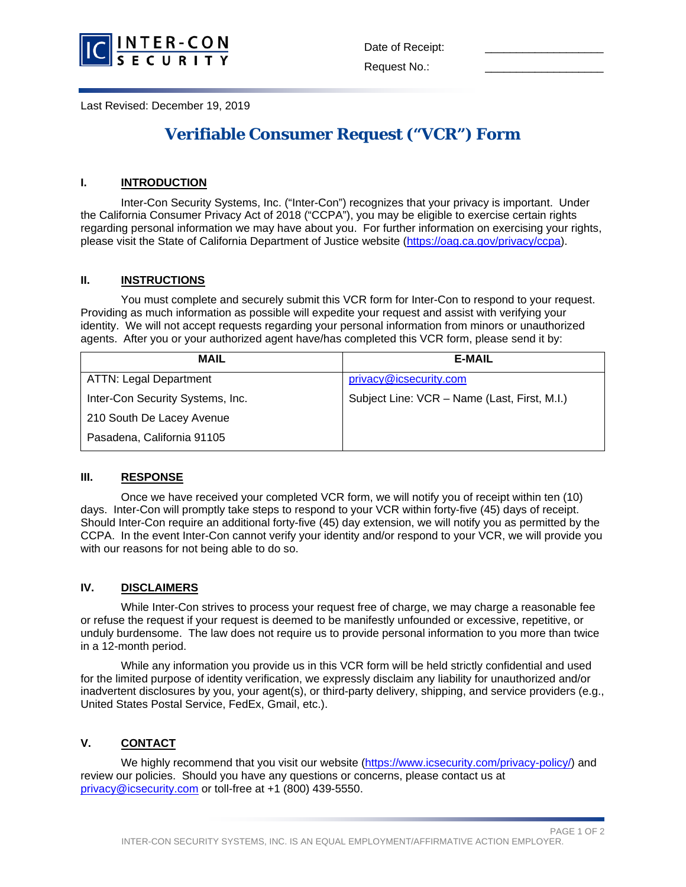

Last Revised: December 19, 2019

# **Verifiable Consumer Request ("VCR") Form**

## **I. INTRODUCTION**

Inter-Con Security Systems, Inc. ("Inter-Con") recognizes that your privacy is important. Under the California Consumer Privacy Act of 2018 ("CCPA"), you may be eligible to exercise certain rights regarding personal information we may have about you. For further information on exercising your rights, please visit the State of California Department of Justice website [\(https://oag.ca.gov/privacy/ccpa\)](https://oag.ca.gov/privacy/ccpa).

### **II. INSTRUCTIONS**

You must complete and securely submit this VCR form for Inter-Con to respond to your request. Providing as much information as possible will expedite your request and assist with verifying your identity. We will not accept requests regarding your personal information from minors or unauthorized agents. After you or your authorized agent have/has completed this VCR form, please send it by:

| <b>MAIL</b>                      | <b>E-MAIL</b>                                |  |  |
|----------------------------------|----------------------------------------------|--|--|
| <b>ATTN: Legal Department</b>    | privacy@icsecurity.com                       |  |  |
| Inter-Con Security Systems, Inc. | Subject Line: VCR - Name (Last, First, M.I.) |  |  |
| 210 South De Lacey Avenue        |                                              |  |  |
| Pasadena, California 91105       |                                              |  |  |

#### **III. RESPONSE**

Once we have received your completed VCR form, we will notify you of receipt within ten (10) days. Inter-Con will promptly take steps to respond to your VCR within forty-five (45) days of receipt. Should Inter-Con require an additional forty-five (45) day extension, we will notify you as permitted by the CCPA. In the event Inter-Con cannot verify your identity and/or respond to your VCR, we will provide you with our reasons for not being able to do so.

#### **IV. DISCLAIMERS**

While Inter-Con strives to process your request free of charge, we may charge a reasonable fee or refuse the request if your request is deemed to be manifestly unfounded or excessive, repetitive, or unduly burdensome. The law does not require us to provide personal information to you more than twice in a 12-month period.

While any information you provide us in this VCR form will be held strictly confidential and used for the limited purpose of identity verification, we expressly disclaim any liability for unauthorized and/or inadvertent disclosures by you, your agent(s), or third-party delivery, shipping, and service providers (e.g., United States Postal Service, FedEx, Gmail, etc.).

## **V. CONTACT**

We highly recommend that you visit our website [\(https://www.icsecurity.com/privacy-policy/\)](https://www.icsecurity.com/privacy-policy/) and review our policies. Should you have any questions or concerns, please contact us at [privacy@icsecurity.com](mailto:privacy@icsecurity.com) or toll-free at +1 (800) 439-5550.